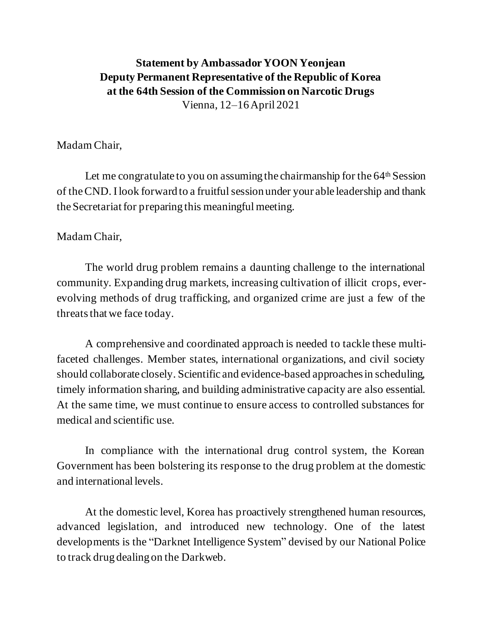## **Statement by AmbassadorYOON Yeonjean Deputy Permanent Representative of the Republic of Korea at the 64th Session of the Commission on Narcotic Drugs** Vienna, 12–16 April 2021

## Madam Chair,

Let me congratulate to you on assuming the chairmanship for the  $64<sup>th</sup>$  Session of theCND. I look forward to a fruitful session under your able leadership and thank the Secretariat for preparing this meaningful meeting.

## Madam Chair,

The world drug problem remains a daunting challenge to the international community. Expanding drug markets, increasing cultivation of illicit crops, everevolving methods of drug trafficking, and organized crime are just a few of the threats that we face today.

A comprehensive and coordinated approach is needed to tackle these multifaceted challenges. Member states, international organizations, and civil society should collaborate closely. Scientific and evidence-based approaches in scheduling, timely information sharing, and building administrative capacity are also essential. At the same time, we must continue to ensure access to controlled substances for medical and scientific use.

In compliance with the international drug control system, the Korean Government has been bolstering its response to the drug problem at the domestic and international levels.

At the domestic level, Korea has proactively strengthened human resources, advanced legislation, and introduced new technology. One of the latest developments is the "Darknet Intelligence System" devised by our National Police to track drug dealing on the Darkweb.